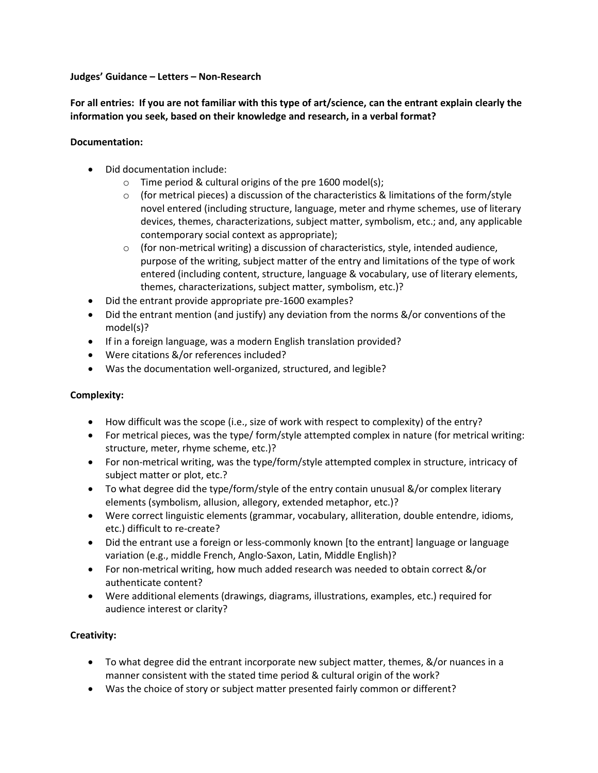#### **Judges' Guidance – Letters – Non-Research**

**For all entries: If you are not familiar with this type of art/science, can the entrant explain clearly the information you seek, based on their knowledge and research, in a verbal format?** 

### **Documentation:**

- Did documentation include:
	- o Time period & cultural origins of the pre 1600 model(s);
	- $\circ$  (for metrical pieces) a discussion of the characteristics & limitations of the form/style novel entered (including structure, language, meter and rhyme schemes, use of literary devices, themes, characterizations, subject matter, symbolism, etc.; and, any applicable contemporary social context as appropriate);
	- $\circ$  (for non-metrical writing) a discussion of characteristics, style, intended audience, purpose of the writing, subject matter of the entry and limitations of the type of work entered (including content, structure, language & vocabulary, use of literary elements, themes, characterizations, subject matter, symbolism, etc.)?
- Did the entrant provide appropriate pre-1600 examples?
- Did the entrant mention (and justify) any deviation from the norms &/or conventions of the model(s)?
- If in a foreign language, was a modern English translation provided?
- Were citations &/or references included?
- Was the documentation well-organized, structured, and legible?

# **Complexity:**

- $\bullet$  How difficult was the scope (i.e., size of work with respect to complexity) of the entry?
- For metrical pieces, was the type/ form/style attempted complex in nature (for metrical writing: structure, meter, rhyme scheme, etc.)?
- For non-metrical writing, was the type/form/style attempted complex in structure, intricacy of subject matter or plot, etc.?
- To what degree did the type/form/style of the entry contain unusual &/or complex literary elements (symbolism, allusion, allegory, extended metaphor, etc.)?
- Were correct linguistic elements (grammar, vocabulary, alliteration, double entendre, idioms, etc.) difficult to re-create?
- Did the entrant use a foreign or less-commonly known [to the entrant] language or language variation (e.g., middle French, Anglo-Saxon, Latin, Middle English)?
- For non-metrical writing, how much added research was needed to obtain correct &/or authenticate content?
- Were additional elements (drawings, diagrams, illustrations, examples, etc.) required for audience interest or clarity?

# **Creativity:**

- To what degree did the entrant incorporate new subject matter, themes, &/or nuances in a manner consistent with the stated time period & cultural origin of the work?
- Was the choice of story or subject matter presented fairly common or different?